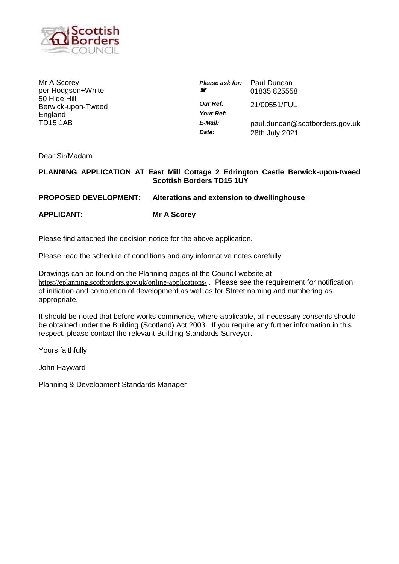

Mr A Scorey per Hodgson+White 50 Hide Hill Berwick-upon-Tweed **England** TD15 1AB

| Ŧ                            | <b>Please ask for:</b> Paul Duncan<br>01835 825558 |
|------------------------------|----------------------------------------------------|
| <b>Our Ref:</b><br>Your Ref: | 21/00551/FUL                                       |
| E-Mail:<br>Date:             | paul.duncan@scotborders.gov.uk<br>28th July 2021   |

Dear Sir/Madam

## **PLANNING APPLICATION AT East Mill Cottage 2 Edrington Castle Berwick-upon-tweed Scottish Borders TD15 1UY**

**PROPOSED DEVELOPMENT: Alterations and extension to dwellinghouse**

**APPLICANT**: **Mr A Scorey**

Please find attached the decision notice for the above application.

Please read the schedule of conditions and any informative notes carefully.

Drawings can be found on the Planning pages of the Council website at <https://eplanning.scotborders.gov.uk/online-applications/> . Please see the requirement for notification of initiation and completion of development as well as for Street naming and numbering as appropriate.

It should be noted that before works commence, where applicable, all necessary consents should be obtained under the Building (Scotland) Act 2003. If you require any further information in this respect, please contact the relevant Building Standards Surveyor.

Yours faithfully

John Hayward

Planning & Development Standards Manager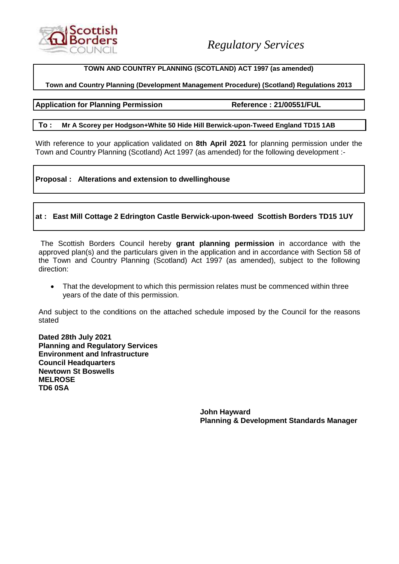

## **TOWN AND COUNTRY PLANNING (SCOTLAND) ACT 1997 (as amended)**

## **Town and Country Planning (Development Management Procedure) (Scotland) Regulations 2013**

### **Application for Planning Permission Reference : 21/00551/FUL**

#### **To : Mr A Scorey per Hodgson+White 50 Hide Hill Berwick-upon-Tweed England TD15 1AB**

With reference to your application validated on **8th April 2021** for planning permission under the Town and Country Planning (Scotland) Act 1997 (as amended) for the following development :-

## **Proposal : Alterations and extension to dwellinghouse**

## **at : East Mill Cottage 2 Edrington Castle Berwick-upon-tweed Scottish Borders TD15 1UY**

The Scottish Borders Council hereby **grant planning permission** in accordance with the approved plan(s) and the particulars given in the application and in accordance with Section 58 of the Town and Country Planning (Scotland) Act 1997 (as amended), subject to the following direction:

• That the development to which this permission relates must be commenced within three years of the date of this permission.

And subject to the conditions on the attached schedule imposed by the Council for the reasons stated

**Dated 28th July 2021 Planning and Regulatory Services Environment and Infrastructure Council Headquarters Newtown St Boswells MELROSE TD6 0SA**

> **John Hayward Planning & Development Standards Manager**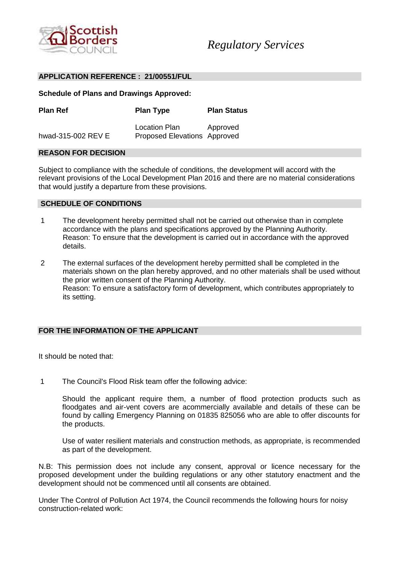

#### **APPLICATION REFERENCE : 21/00551/FUL**

**Schedule of Plans and Drawings Approved:**

| <b>Plan Ref</b>    | <b>Plan Type</b>                              | <b>Plan Status</b> |
|--------------------|-----------------------------------------------|--------------------|
| hwad-315-002 REV E | Location Plan<br>Proposed Elevations Approved | Approved           |

#### **REASON FOR DECISION**

Subject to compliance with the schedule of conditions, the development will accord with the relevant provisions of the Local Development Plan 2016 and there are no material considerations that would justify a departure from these provisions.

#### **SCHEDULE OF CONDITIONS**

- 1 The development hereby permitted shall not be carried out otherwise than in complete accordance with the plans and specifications approved by the Planning Authority. Reason: To ensure that the development is carried out in accordance with the approved details.
- 2 The external surfaces of the development hereby permitted shall be completed in the materials shown on the plan hereby approved, and no other materials shall be used without the prior written consent of the Planning Authority. Reason: To ensure a satisfactory form of development, which contributes appropriately to its setting.

#### **FOR THE INFORMATION OF THE APPLICANT**

It should be noted that:

1 The Council's Flood Risk team offer the following advice:

Should the applicant require them, a number of flood protection products such as floodgates and air-vent covers are acommercially available and details of these can be found by calling Emergency Planning on 01835 825056 who are able to offer discounts for the products.

Use of water resilient materials and construction methods, as appropriate, is recommended as part of the development.

N.B: This permission does not include any consent, approval or licence necessary for the proposed development under the building regulations or any other statutory enactment and the development should not be commenced until all consents are obtained.

Under The Control of Pollution Act 1974, the Council recommends the following hours for noisy construction-related work: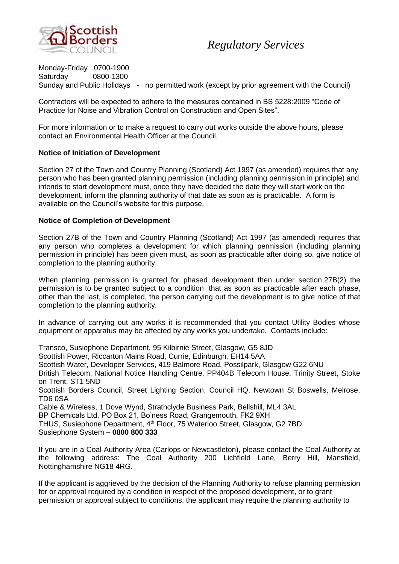

## *Regulatory Services*

Monday-Friday 0700-1900 Saturday 0800-1300 Sunday and Public Holidays - no permitted work (except by prior agreement with the Council)

Contractors will be expected to adhere to the measures contained in BS 5228:2009 "Code of Practice for Noise and Vibration Control on Construction and Open Sites".

For more information or to make a request to carry out works outside the above hours, please contact an Environmental Health Officer at the Council.

## **Notice of Initiation of Development**

Section 27 of the Town and Country Planning (Scotland) Act 1997 (as amended) requires that any person who has been granted planning permission (including planning permission in principle) and intends to start development must, once they have decided the date they will start work on the development, inform the planning authority of that date as soon as is practicable. A form is available on the Council's website for this purpose.

## **Notice of Completion of Development**

Section 27B of the Town and Country Planning (Scotland) Act 1997 (as amended) requires that any person who completes a development for which planning permission (including planning permission in principle) has been given must, as soon as practicable after doing so, give notice of completion to the planning authority.

When planning permission is granted for phased development then under section 27B(2) the permission is to be granted subject to a condition that as soon as practicable after each phase, other than the last, is completed, the person carrying out the development is to give notice of that completion to the planning authority.

In advance of carrying out any works it is recommended that you contact Utility Bodies whose equipment or apparatus may be affected by any works you undertake. Contacts include:

Transco, Susiephone Department, 95 Kilbirnie Street, Glasgow, G5 8JD Scottish Power, Riccarton Mains Road, Currie, Edinburgh, EH14 5AA Scottish Water, Developer Services, 419 Balmore Road, Possilpark, Glasgow G22 6NU British Telecom, National Notice Handling Centre, PP404B Telecom House, Trinity Street, Stoke on Trent, ST1 5ND Scottish Borders Council, Street Lighting Section, Council HQ, Newtown St Boswells, Melrose, TD6 0SA Cable & Wireless, 1 Dove Wynd, Strathclyde Business Park, Bellshill, ML4 3AL BP Chemicals Ltd, PO Box 21, Bo'ness Road, Grangemouth, FK2 9XH THUS, Susiephone Department, 4<sup>th</sup> Floor, 75 Waterloo Street, Glasgow, G2 7BD Susiephone System – **0800 800 333**

If you are in a Coal Authority Area (Carlops or Newcastleton), please contact the Coal Authority at the following address: The Coal Authority 200 Lichfield Lane, Berry Hill, Mansfield, Nottinghamshire NG18 4RG.

If the applicant is aggrieved by the decision of the Planning Authority to refuse planning permission for or approval required by a condition in respect of the proposed development, or to grant permission or approval subject to conditions, the applicant may require the planning authority to